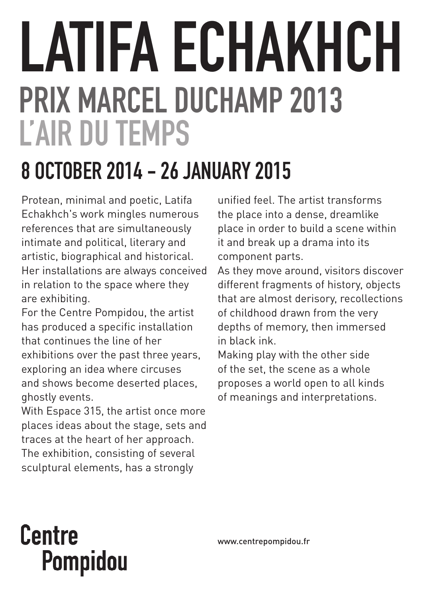# LATIFA ECHAKHCH PRIX MARCEL DUCHAMP 2013 L'AIR DU TEMPS

# 8 OCTOBER 2014 - 26 JANUARY 2015

Protean, minimal and poetic, Latifa Echakhch's work mingles numerous references that are simultaneously intimate and political, literary and artistic, biographical and historical. Her installations are always conceived in relation to the space where they are exhibiting.

For the Centre Pompidou, the artist has produced a specific installation that continues the line of her exhibitions over the past three years, exploring an idea where circuses and shows become deserted places, ghostly events.

With Espace 315, the artist once more places ideas about the stage, sets and traces at the heart of her approach. The exhibition, consisting of several sculptural elements, has a strongly

unified feel. The artist transforms the place into a dense, dreamlike place in order to build a scene within it and break up a drama into its component parts.

As they move around, visitors discover different fragments of history, objects that are almost derisory, recollections of childhood drawn from the very depths of memory, then immersed in black ink.

Making play with the other side of the set, the scene as a whole proposes a world open to all kinds of meanings and interpretations.

# **Centre** Pompidou

www.centrepompidou.fr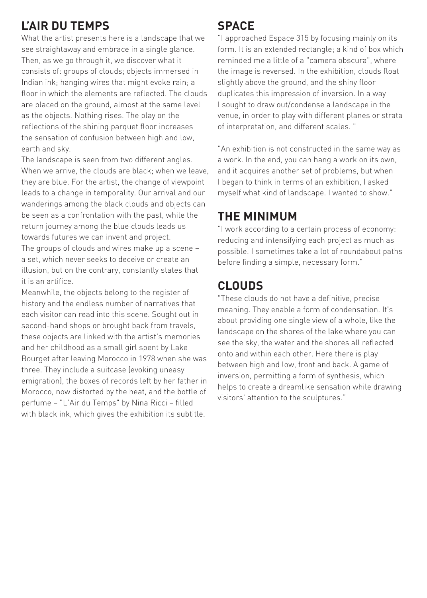## **L'Air du temps**

What the artist presents here is a landscape that we see straightaway and embrace in a single glance. Then, as we go through it, we discover what it consists of: groups of clouds; objects immersed in Indian ink; hanging wires that might evoke rain; a floor in which the elements are reflected. The clouds are placed on the ground, almost at the same level as the objects. Nothing rises. The play on the reflections of the shining parquet floor increases the sensation of confusion between high and low, earth and sky.

The landscape is seen from two different angles. When we arrive, the clouds are black; when we leave, they are blue. For the artist, the change of viewpoint leads to a change in temporality. Our arrival and our wanderings among the black clouds and objects can be seen as a confrontation with the past, while the return journey among the blue clouds leads us towards futures we can invent and project. The groups of clouds and wires make up a scene – a set, which never seeks to deceive or create an illusion, but on the contrary, constantly states that it is an artifice.

Meanwhile, the objects belong to the register of history and the endless number of narratives that each visitor can read into this scene. Sought out in second-hand shops or brought back from travels, these objects are linked with the artist's memories and her childhood as a small girl spent by Lake Bourget after leaving Morocco in 1978 when she was three. They include a suitcase (evoking uneasy emigration), the boxes of records left by her father in Morocco, now distorted by the heat, and the bottle of perfume – "L'Air du Temps" by Nina Ricci – filled with black ink, which gives the exhibition its subtitle.

#### **Space**

"I approached Espace 315 by focusing mainly on its form. It is an extended rectangle; a kind of box which reminded me a little of a "camera obscura", where the image is reversed. In the exhibition, clouds float slightly above the ground, and the shiny floor duplicates this impression of inversion. In a way I sought to draw out/condense a landscape in the venue, in order to play with different planes or strata of interpretation, and different scales. "

"An exhibition is not constructed in the same way as a work. In the end, you can hang a work on its own, and it acquires another set of problems, but when I began to think in terms of an exhibition, I asked myself what kind of landscape. I wanted to show."

## **The minimum**

"I work according to a certain process of economy: reducing and intensifying each project as much as possible. I sometimes take a lot of roundabout paths before finding a simple, necessary form."

# **Clouds**

"These clouds do not have a definitive, precise meaning. They enable a form of condensation. It's about providing one single view of a whole, like the landscape on the shores of the lake where you can see the sky, the water and the shores all reflected onto and within each other. Here there is play between high and low, front and back. A game of inversion, permitting a form of synthesis, which helps to create a dreamlike sensation while drawing visitors' attention to the sculptures."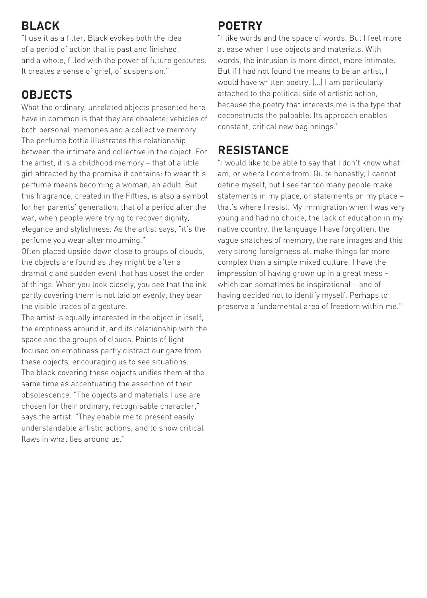## **Black**

"I use it as a filter. Black evokes both the idea of a period of action that is past and finished, and a whole, filled with the power of future gestures. It creates a sense of grief, of suspension."

## **Objects**

What the ordinary, unrelated objects presented here have in common is that they are obsolete; vehicles of both personal memories and a collective memory. The perfume bottle illustrates this relationship between the intimate and collective in the object. For the artist, it is a childhood memory – that of a little girl attracted by the promise it contains: to wear this perfume means becoming a woman, an adult. But this fragrance, created in the Fifties, is also a symbol for her parents' generation: that of a period after the war, when people were trying to recover dignity, elegance and stylishness. As the artist says, "it's the perfume you wear after mourning."

Often placed upside down close to groups of clouds, the objects are found as they might be after a dramatic and sudden event that has upset the order of things. When you look closely, you see that the ink partly covering them is not laid on evenly; they bear the visible traces of a gesture.

The artist is equally interested in the object in itself, the emptiness around it, and its relationship with the space and the groups of clouds. Points of light focused on emptiness partly distract our gaze from these objects, encouraging us to see situations. The black covering these objects unifies them at the same time as accentuating the assertion of their obsolescence. "The objects and materials I use are chosen for their ordinary, recognisable character," says the artist. "They enable me to present easily understandable artistic actions, and to show critical flaws in what lies around us."

#### **Poetry**

"I like words and the space of words. But I feel more at ease when I use objects and materials. With words, the intrusion is more direct, more intimate. But if I had not found the means to be an artist, I would have written poetry. (…) I am particularly attached to the political side of artistic action, because the poetry that interests me is the type that deconstructs the palpable. Its approach enables constant, critical new beginnings."

#### **Resistance**

"I would like to be able to say that I don't know what I am, or where I come from. Quite honestly, I cannot define myself, but I see far too many people make statements in my place, or statements on my place – that's where I resist. My immigration when I was very young and had no choice, the lack of education in my native country, the language I have forgotten, the vague snatches of memory, the rare images and this very strong foreignness all make things far more complex than a simple mixed culture. I have the impression of having grown up in a great mess – which can sometimes be inspirational – and of having decided not to identify myself. Perhaps to preserve a fundamental area of freedom within me."